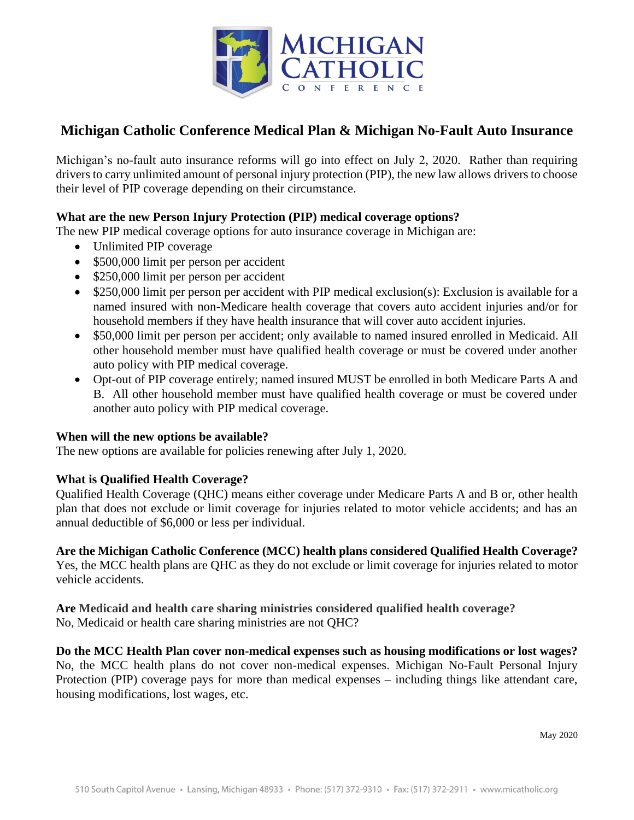

# **Michigan Catholic Conference Medical Plan & Michigan No-Fault Auto Insurance**

Michigan's no-fault auto insurance reforms will go into effect on July 2, 2020. Rather than requiring drivers to carry unlimited amount of personal injury protection (PIP), the new law allows drivers to choose their level of PIP coverage depending on their circumstance.

### **What are the new Person Injury Protection (PIP) medical coverage options?**

The new PIP medical coverage options for auto insurance coverage in Michigan are:

- Unlimited PIP coverage
- \$500,000 limit per person per accident
- \$250,000 limit per person per accident
- \$250,000 limit per person per accident with PIP medical exclusion(s): Exclusion is available for a named insured with non-Medicare health coverage that covers auto accident injuries and/or for household members if they have health insurance that will cover auto accident injuries.
- \$50,000 limit per person per accident; only available to named insured enrolled in Medicaid. All other household member must have qualified health coverage or must be covered under another auto policy with PIP medical coverage.
- Opt-out of PIP coverage entirely; named insured MUST be enrolled in both Medicare Parts A and B. All other household member must have qualified health coverage or must be covered under another auto policy with PIP medical coverage.

#### **When will the new options be available?**

The new options are available for policies renewing after July 1, 2020.

### **What is Qualified Health Coverage?**

Qualified Health Coverage (QHC) means either coverage under Medicare Parts A and B or, other health plan that does not exclude or limit coverage for injuries related to motor vehicle accidents; and has an annual deductible of \$6,000 or less per individual.

## **Are the Michigan Catholic Conference (MCC) health plans considered Qualified Health Coverage?**

Yes, the MCC health plans are QHC as they do not exclude or limit coverage for injuries related to motor vehicle accidents.

**Are Medicaid and health care sharing ministries considered qualified health coverage?** No, Medicaid or health care sharing ministries are not QHC?

**Do the MCC Health Plan cover non-medical expenses such as housing modifications or lost wages?** No, the MCC health plans do not cover non-medical expenses. Michigan No-Fault Personal Injury Protection (PIP) coverage pays for more than medical expenses – including things like attendant care, housing modifications, lost wages, etc.

May 2020